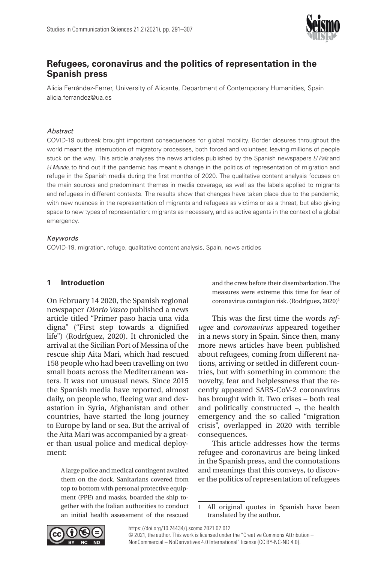

# **Refugees, coronavirus and the politics of representation in the Spanish press**

Alicia Ferrández-Ferrer, University of Alicante, Department of Contemporary Humanities, Spain [alicia.ferrandez@ua.es](mailto:alicia.ferrandez@ua.es)

#### *Abstract*

COVID-19 outbreak brought important consequences for global mobility. Border closures throughout the world meant the interruption of migratory processes, both forced and volunteer, leaving millions of people stuck on the way. This article analyses the news articles published by the Spanish newspapers *El País* and *El Mundo,* to find out if the pandemic has meant a change in the politics of representation of migration and refuge in the Spanish media during the first months of 2020. The qualitative content analysis focuses on the main sources and predominant themes in media coverage, as well as the labels applied to migrants and refugees in different contexts. The results show that changes have taken place due to the pandemic, with new nuances in the representation of migrants and refugees as victims or as a threat, but also giving space to new types of representation: migrants as necessary, and as active agents in the context of a global emergency.

### *Keywords*

COVID-19, migration, refuge, qualitative content analysis, Spain, news articles

### **1 Introduction**

On February 14 2020, the Spanish regional newspaper *Diario Vasco* published a news article titled "Primer paso hacia una vida digna" ("First step towards a dignified life") (Rodríguez, 2020). It chronicled the arrival at the Sicilian Port of Messina of the rescue ship Aita Mari, which had rescued 158 people who had been travelling on two small boats across the Mediterranean waters. It was not unusual news. Since 2015 the Spanish media have reported, almost daily, on people who, fleeing war and devastation in Syria, Afghanistan and other countries, have started the long journey to Europe by land or sea. But the arrival of the Aita Mari was accompanied by a greater than usual police and medical deployment:

A large police and medical contingent awaited them on the dock. Sanitarians covered from top to bottom with personal protective equipment (PPE) and masks, boarded the ship together with the Italian authorities to conduct an initial health assessment of the rescued

and the crew before their disembarkation. The measures were extreme this time for fear of coronavirus contagion risk. (Rodríguez, 2020)<sup>1</sup>

This was the first time the words *refugee* and *coronavirus* appeared together in a news story in Spain. Since then, many more news articles have been published about refugees, coming from different nations, arriving or settled in different countries, but with something in common: the novelty, fear and helplessness that the recently appeared SARS-CoV-2 coronavirus has brought with it. Two crises – both real and politically constructed –, the health emergency and the so called "migration crisis", overlapped in 2020 with terrible consequences.

This article addresses how the terms refugee and coronavirus are being linked in the Spanish press, and the connotations and meanings that this conveys, to discover the politics of representation of refugees



<https://doi.org/10.24434/j.scoms.2021.02.012> [© 2021, the author. This work is licensed under the "Creative Commons Attribution](https://creativecommons.org/licenses/by-nc-nd/4.0/) – NonCommercial [– NoDerivatives 4.0 International" license \(CC BY-NC-ND 4.0\).](https://creativecommons.org/licenses/by-nc-nd/4.0/)

<sup>1</sup> All original quotes in Spanish have been translated by the author.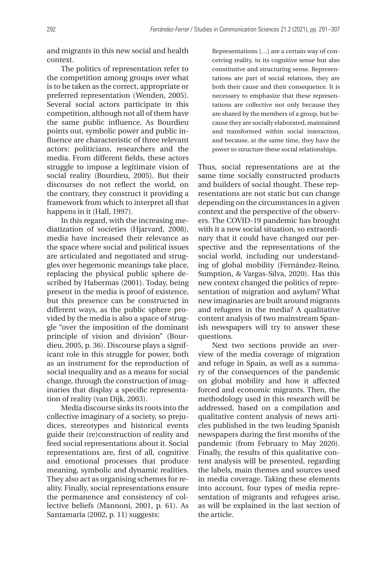and migrants in this new social and health context.

The politics of representation refer to the competition among groups over what is to be taken as the correct, appropriate or preferred representation (Wenden, 2005). Several social actors participate in this competition, although not all of them have the same public influence. As Bourdieu points out, symbolic power and public influence are characteristic of three relevant actors: politicians, researchers and the media. From different fields, these actors struggle to impose a legitimate vision of social reality (Bourdieu, 2005). But their discourses do not reflect the world, on the contrary, they construct it providing a framework from which to interpret all that happens in it (Hall, 1997).

In this regard, with the increasing mediatization of societies (Hjarvard, 2008), media have increased their relevance as the space where social and political issues are articulated and negotiated and struggles over hegemonic meanings take place, replacing the physical public sphere described by Habermas (2001). Today, being present in the media is proof of existence, but this presence can be constructed in different ways, as the public sphere provided by the media is also a space of struggle "over the imposition of the dominant principle of vision and division" (Bourdieu, 2005, p. 36). Discourse plays a significant role in this struggle for power, both as an instrument for the reproduction of social inequality and as a means for social change, through the construction of imaginaries that display a specific representation of reality (van Dijk, 2003).

Media discourse sinks its roots into the collective imaginary of a society, so prejudices, stereotypes and historical events guide their (re)construction of reality and feed social representations about it. Social representations are, first of all, cognitive and emotional processes that produce meaning, symbolic and dynamic realities. They also act as organising schemes for reality. Finally, social representations ensure the permanence and consistency of collective beliefs (Mannoni, 2001, p. 61). As Santamaría (2002, p. 11) suggests:

Representations […] are a certain way of conceiving reality, in its cognitive sense but also constitutive and structuring sense. Representations are part of social relations, they are both their cause and their consequence. It is necessary to emphasize that these representations are collective not only because they are shared by the members of a group, but because they are socially elaborated, maintained and transformed within social interaction, and because, at the same time, they have the power to structure these social relationships.

Thus, social representations are at the same time socially constructed products and builders of social thought. These representations are not static but can change depending on the circumstances in a given context and the perspective of the observers. The COVID-19 pandemic has brought with it a new social situation, so extraordinary that it could have changed our perspective and the representations of the social world, including our understanding of global mobility (Fernández-Reino, Sumption, & Vargas-Silva, 2020). Has this new context changed the politics of representation of migration and asylum? What new imaginaries are built around migrants and refugees in the media? A qualitative content analysis of two mainstream Spanish newspapers will try to answer these questions.

Next two sections provide an overview of the media coverage of migration and refuge in Spain, as well as a summary of the consequences of the pandemic on global mobility and how it affected forced and economic migrants. Then, the methodology used in this research will be addressed, based on a compilation and qualitative content analysis of news articles published in the two leading Spanish newspapers during the first months of the pandemic (from February to May 2020). Finally, the results of this qualitative content analysis will be presented, regarding the labels, main themes and sources used in media coverage. Taking these elements into account, four types of media representation of migrants and refugees arise, as will be explained in the last section of the article.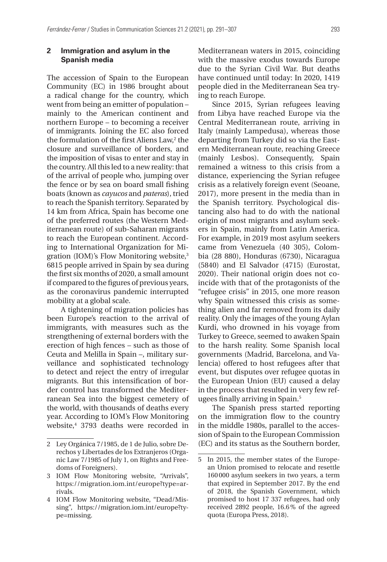The accession of Spain to the European Community (EC) in 1986 brought about a radical change for the country, which went from being an emitter of population – mainly to the American continent and northern Europe – to becoming a receiver of immigrants. Joining the EC also forced the formulation of the first Aliens Law,<sup>2</sup> the closure and surveillance of borders, and the imposition of visas to enter and stay in the country. All this led to a new reality: that of the arrival of people who, jumping over the fence or by sea on board small fishing boats (known as *cayucos* and *pateras*), tried to reach the Spanish territory. Separated by 14 km from Africa, Spain has become one of the preferred routes (the Western Mediterranean route) of sub-Saharan migrants to reach the European continent. According to International Organization for Migration (IOM)'s Flow Monitoring website,3 6815 people arrived in Spain by sea during the first six months of 2020, a small amount if compared to the figures of previous years, as the coronavirus pandemic interrupted mobility at a global scale.

A tightening of migration policies has been Europe's reaction to the arrival of immigrants, with measures such as the strengthening of external borders with the erection of high fences – such as those of Ceuta and Melilla in Spain –, military surveillance and sophisticated technology to detect and reject the entry of irregular migrants. But this intensification of border control has transformed the Mediterranean Sea into the biggest cemetery of the world, with thousands of deaths every year. According to IOM's Flow Monitoring website,4 3793 deaths were recorded in Mediterranean waters in 2015, coinciding with the massive exodus towards Europe due to the Syrian Civil War. But deaths have continued until today: In 2020, 1419 people died in the Mediterranean Sea trying to reach Europe.

Since 2015, Syrian refugees leaving from Libya have reached Europe via the Central Mediterranean route, arriving in Italy (mainly Lampedusa), whereas those departing from Turkey did so via the Eastern Mediterranean route, reaching Greece (mainly Lesbos). Consequently, Spain remained a witness to this crisis from a distance, experiencing the Syrian refugee crisis as a relatively foreign event (Seoane, 2017), more present in the media than in the Spanish territory. Psychological distancing also had to do with the national origin of most migrants and asylum seekers in Spain, mainly from Latin America. For example, in 2019 most asylum seekers came from Venezuela (40 305), Colombia (28 880), Honduras (6730), Nicaragua (5840) and El Salvador (4715) (Eurostat, 2020). Their national origin does not coincide with that of the protagonists of the "refugee crisis" in 2015, one more reason why Spain witnessed this crisis as something alien and far removed from its daily reality. Only the images of the young Aylan Kurdi, who drowned in his voyage from Turkey to Greece, seemed to awaken Spain to the harsh reality. Some Spanish local governments (Madrid, Barcelona, and Valencia) offered to host refugees after that event, but disputes over refugee quotas in the European Union (EU) caused a delay in the process that resulted in very few refugees finally arriving in Spain.5

The Spanish press started reporting on the immigration flow to the country in the middle 1980s, parallel to the accession of Spain to the European Commission (EC) and its status as the Southern border,

<sup>2</sup> Ley Orgánica 7/1985, de 1 de Julio, sobre Derechos y Libertades de los Extranjeros (Organic Law 7/1985 of July 1, on Rights and Freedoms of Foreigners).

<sup>3</sup> IOM Flow Monitoring website, "Arrivals", [https://migration.iom.int/europe?type=ar](https://migration.iom.int/europe?type=arrivals)[rivals](https://migration.iom.int/europe?type=arrivals).

<sup>4</sup> IOM Flow Monitoring website, "Dead/Missing", [https://migration.iom.int/europe?ty](https://migration.iom.int/europe?type=missing)[pe=missing.](https://migration.iom.int/europe?type=missing)

<sup>5</sup> In 2015, the member states of the European Union promised to relocate and resettle 160000 asylum seekers in two years, a term that expired in September 2017. By the end of 2018, the Spanish Government, which promised to host 17 337 refugees, had only received 2892 people, 16.6% of the agreed quota (Europa Press, 2018).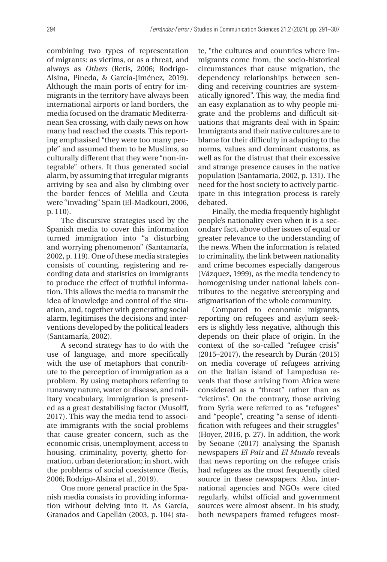combining two types of representation of migrants: as victims, or as a threat, and always as *Others* (Retis, 2006; Rodrigo-Alsina, Pineda, & García-Jiménez, 2019). Although the main ports of entry for immigrants in the territory have always been international airports or land borders, the media focused on the dramatic Mediterranean Sea crossing, with daily news on how many had reached the coasts. This reporting emphasised "they were too many people" and assumed them to be Muslims, so culturally different that they were "non-integrable" others. It thus generated social alarm, by assuming that irregular migrants arriving by sea and also by climbing over the border fences of Melilla and Ceuta were "invading" Spain (El-Madkouri, 2006, p. 110).

The discursive strategies used by the Spanish media to cover this information turned immigration into "a disturbing and worrying phenomenon" (Santamaría, 2002, p. 119). One of these media strategies consists of counting, registering and recording data and statistics on immigrants to produce the effect of truthful information. This allows the media to transmit the idea of knowledge and control of the situation, and, together with generating social alarm, legitimises the decisions and interventions developed by the political leaders (Santamaría, 2002).

A second strategy has to do with the use of language, and more specifically with the use of metaphors that contribute to the perception of immigration as a problem. By using metaphors referring to runaway nature, water or disease, and military vocabulary, immigration is presented as a great destabilising factor (Musolff, 2017). This way the media tend to associate immigrants with the social problems that cause greater concern, such as the economic crisis, unemployment, access to housing, criminality, poverty, ghetto formation, urban deterioration; in short, with the problems of social coexistence (Retis, 2006; Rodrigo-Alsina et al., 2019).

One more general practice in the Spanish media consists in providing information without delving into it. As García, Granados and Capellán (2003, p. 104) sta-

te, "the cultures and countries where immigrants come from, the socio-historical circumstances that cause migration, the dependency relationships between sending and receiving countries are systematically ignored". This way, the media find an easy explanation as to why people migrate and the problems and difficult situations that migrants deal with in Spain: Immigrants and their native cultures are to blame for their difficulty in adapting to the norms, values and dominant customs, as well as for the distrust that their excessive and strange presence causes in the native population (Santamaría, 2002, p. 131). The need for the host society to actively participate in this integration process is rarely debated.

Finally, the media frequently highlight people's nationality even when it is a secondary fact, above other issues of equal or greater relevance to the understanding of the news. When the information is related to criminality, the link between nationality and crime becomes especially dangerous (Vázquez, 1999), as the media tendency to homogenising under national labels contributes to the negative stereotyping and stigmatisation of the whole community.

Compared to economic migrants, reporting on refugees and asylum seekers is slightly less negative, although this depends on their place of origin. In the context of the so-called "refugee crisis" (2015–2017), the research by Durán (2015) on media coverage of refugees arriving on the Italian island of Lampedusa reveals that those arriving from Africa were considered as a "threat" rather than as "victims". On the contrary, those arriving from Syria were referred to as "refugees" and "people", creating "a sense of identification with refugees and their struggles" (Hoyer, 2016, p. 27). In addition, the work by Seoane (2017) analysing the Spanish newspapers *El País* and *El Mundo* reveals that news reporting on the refugee crisis had refugees as the most frequently cited source in these newspapers. Also, international agencies and NGOs were cited regularly, whilst official and government sources were almost absent. In his study, both newspapers framed refugees most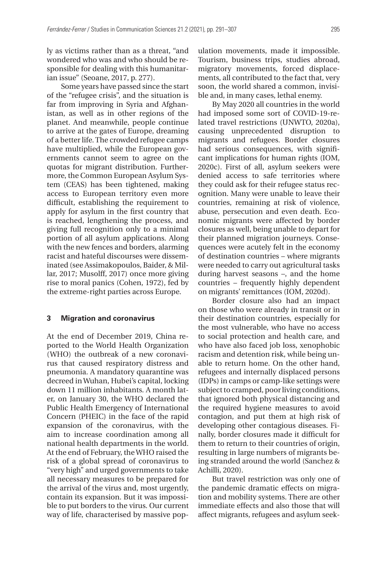ly as victims rather than as a threat, "and wondered who was and who should be responsible for dealing with this humanitarian issue" (Seoane, 2017, p. 277).

Some years have passed since the start of the "refugee crisis", and the situation is far from improving in Syria and Afghanistan, as well as in other regions of the planet. And meanwhile, people continue to arrive at the gates of Europe, dreaming of a better life. The crowded refugee camps have multiplied, while the European governments cannot seem to agree on the quotas for migrant distribution. Furthermore, the Common European Asylum System (CEAS) has been tightened, making access to European territory even more difficult, establishing the requirement to apply for asylum in the first country that is reached, lengthening the process, and giving full recognition only to a minimal portion of all asylum applications. Along with the new fences and borders, alarming racist and hateful discourses were disseminated (see Assimakopoulos, Baider, & Millar, 2017; Musolff, 2017) once more giving rise to moral panics (Cohen, 1972), fed by the extreme-right parties across Europe.

#### **3 Migration and coronavirus**

At the end of December 2019, China reported to the World Health Organization (WHO) the outbreak of a new coronavirus that caused respiratory distress and pneumonia. A mandatory quarantine was decreed in Wuhan, Hubei's capital, locking down 11 million inhabitants. A month later, on January 30, the WHO declared the Public Health Emergency of International Concern (PHEIC) in the face of the rapid expansion of the coronavirus, with the aim to increase coordination among all national health departments in the world. At the end of February, the WHO raised the risk of a global spread of coronavirus to "very high" and urged governments to take all necessary measures to be prepared for the arrival of the virus and, most urgently, contain its expansion. But it was impossible to put borders to the virus. Our current way of life, characterised by massive pop-

ulation movements, made it impossible. Tourism, business trips, studies abroad, migratory movements, forced displacements, all contributed to the fact that, very soon, the world shared a common, invisible and, in many cases, lethal enemy.

By May 2020 all countries in the world had imposed some sort of COVID-19-related travel restrictions (UNWTO, 2020a), causing unprecedented disruption to migrants and refugees. Border closures had serious consequences, with significant implications for human rights (IOM, 2020c). First of all, asylum seekers were denied access to safe territories where they could ask for their refugee status recognition. Many were unable to leave their countries, remaining at risk of violence, abuse, persecution and even death. Economic migrants were affected by border closures as well, being unable to depart for their planned migration journeys. Consequences were acutely felt in the economy of destination countries – where migrants were needed to carry out agricultural tasks during harvest seasons –, and the home countries – frequently highly dependent on migrants' remittances (IOM, 2020d).

Border closure also had an impact on those who were already in transit or in their destination countries, especially for the most vulnerable, who have no access to social protection and health care, and who have also faced job loss, xenophobic racism and detention risk, while being unable to return home. On the other hand, refugees and internally displaced persons (IDPs) in camps or camp-like settings were subject to cramped, poor living conditions, that ignored both physical distancing and the required hygiene measures to avoid contagion, and put them at high risk of developing other contagious diseases. Finally, border closures made it difficult for them to return to their countries of origin, resulting in large numbers of migrants being stranded around the world (Sanchez & Achilli, 2020).

But travel restriction was only one of the pandemic dramatic effects on migration and mobility systems. There are other immediate effects and also those that will affect migrants, refugees and asylum seek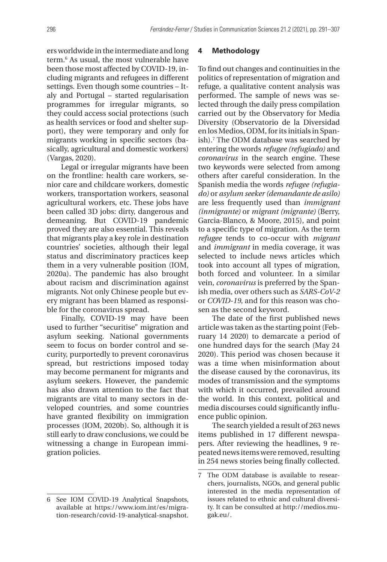ers worldwide in the intermediate and long term.6 As usual, the most vulnerable have been those most affected by COVID-19, including migrants and refugees in different settings. Even though some countries – Italy and Portugal – started regularisation programmes for irregular migrants, so they could access social protections (such as health services or food and shelter support), they were temporary and only for migrants working in specific sectors (basically, agricultural and domestic workers) (Vargas, 2020).

Legal or irregular migrants have been on the frontline: health care workers, senior care and childcare workers, domestic workers, transportation workers, seasonal agricultural workers, etc. These jobs have been called 3D jobs: dirty, dangerous and demeaning. But COVID-19 pandemic proved they are also essential. This reveals that migrants play a key role in destination countries' societies, although their legal status and discriminatory practices keep them in a very vulnerable position (IOM, 2020a). The pandemic has also brought about racism and discrimination against migrants. Not only Chinese people but every migrant has been blamed as responsible for the coronavirus spread.

Finally, COVID-19 may have been used to further "securitise" migration and asylum seeking. National governments seem to focus on border control and security, purportedly to prevent coronavirus spread, but restrictions imposed today may become permanent for migrants and asylum seekers. However, the pandemic has also drawn attention to the fact that migrants are vital to many sectors in developed countries, and some countries have granted flexibility on immigration processes (IOM, 2020b). So, although it is still early to draw conclusions, we could be witnessing a change in European immigration policies.

### **4 Methodology**

To find out changes and continuities in the politics of representation of migration and refuge, a qualitative content analysis was performed. The sample of news was selected through the daily press compilation carried out by the Observatory for Media Diversity (Observatorio de la Diversidad en los Medios, ODM, for its initials in Spanish).7 The ODM database was searched by entering the words *refugee (refugiado)* and *coronavirus* in the search engine. These two keywords were selected from among others after careful consideration. In the Spanish media the words *refugee (refugiado)* or *asylum seeker (demandante de asilo)* are less frequently used than *immigrant (inmigrante)* or *migrant (migrante)* (Berry, Garcia-Blanco, & Moore, 2015), and point to a specific type of migration. As the term *refugee* tends to co-occur with *migrant* and *immigrant* in media coverage, it was selected to include news articles which took into account all types of migration, both forced and volunteer. In a similar vein, *coronavirus* is preferred by the Spanish media, over others such as *SARS-CoV-2* or *COVID-19*, and for this reason was chosen as the second keyword.

The date of the first published news article was taken as the starting point (February 14 2020) to demarcate a period of one hundred days for the search (May 24 2020). This period was chosen because it was a time when misinformation about the disease caused by the coronavirus, its modes of transmission and the symptoms with which it occurred, prevailed around the world. In this context, political and media discourses could significantly influence public opinion.

The search yielded a result of 263 news items published in 17 different newspapers. After reviewing the headlines, 9 repeated news items were removed, resulting in 254 news stories being finally collected.

<sup>6</sup> See IOM COVID-19 Analytical Snapshots, available at [https://www.iom.int/es/migra](https://www.iom.int/es/migration-research/covid-19-analytical-snapshot)[tion-research/covid-19-analytical-snapshot.](https://www.iom.int/es/migration-research/covid-19-analytical-snapshot)

<sup>7</sup> The ODM database is available to researchers, journalists, NGOs, and general public interested in the media representation of issues related to ethnic and cultural diversity. It can be consulted at [http://medios.mu](http://medios.mugak.eu/)[gak.eu/](http://medios.mugak.eu/).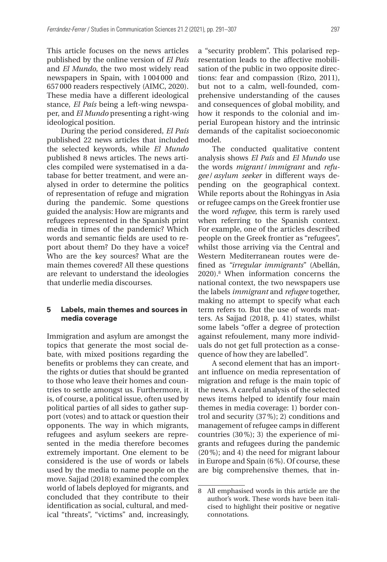This article focuses on the news articles published by the online version of *El País* and *El Mundo*, the two most widely read newspapers in Spain, with 1004000 and 657000 readers respectively (AIMC, 2020). These media have a different ideological stance, *El País* being a left-wing newspaper, and *El Mundo* presenting a right-wing ideological position.

During the period considered, *El País* published 22 news articles that included the selected keywords, while *El Mundo* published 8 news articles. The news articles compiled were systematised in a database for better treatment, and were analysed in order to determine the politics of representation of refuge and migration during the pandemic. Some questions guided the analysis: How are migrants and refugees represented in the Spanish print media in times of the pandemic? Which words and semantic fields are used to report about them? Do they have a voice? Who are the key sources? What are the main themes covered? All these questions are relevant to understand the ideologies that underlie media discourses.

## **5 Labels, main themes and sources in media coverage**

Immigration and asylum are amongst the topics that generate the most social debate, with mixed positions regarding the benefits or problems they can create, and the rights or duties that should be granted to those who leave their homes and countries to settle amongst us. Furthermore, it is, of course, a political issue, often used by political parties of all sides to gather support (votes) and to attack or question their opponents. The way in which migrants, refugees and asylum seekers are represented in the media therefore becomes extremely important. One element to be considered is the use of words or labels used by the media to name people on the move. Sajjad (2018) examined the complex world of labels deployed for migrants, and concluded that they contribute to their identification as social, cultural, and medical "threats", "victims" and, increasingly,

a "security problem". This polarised representation leads to the affective mobilisation of the public in two opposite directions: fear and compassion (Rizo, 2011), but not to a calm, well-founded, comprehensive understanding of the causes and consequences of global mobility, and how it responds to the colonial and imperial European history and the intrinsic demands of the capitalist socioeconomic model.

The conducted qualitative content analysis shows *El País* and *El Mundo* use the words *migrant* / *immigrant* and *refugee* /*asylum seeker* in different ways depending on the geographical context. While reports about the Rohingyas in Asia or refugee camps on the Greek frontier use the word *refugee*, this term is rarely used when referring to the Spanish context. For example, one of the articles described people on the Greek frontier as "refugees", whilst those arriving via the Central and Western Mediterranean routes were defined as *"irregular immigrants*" (Abellán, 2020).8 When information concerns the national context, the two newspapers use the labels *immigrant* and *refugee* together, making no attempt to specify what each term refers to. But the use of words matters. As Sajjad (2018, p. 41) states, whilst some labels "offer a degree of protection against refoulement, many more individuals do not get full protection as a consequence of how they are labelled".

A second element that has an important influence on media representation of migration and refuge is the main topic of the news. A careful analysis of the selected news items helped to identify four main themes in media coverage: 1) border control and security (37%); 2) conditions and management of refugee camps in different countries (30%); 3) the experience of migrants and refugees during the pandemic (20%); and 4) the need for migrant labour in Europe and Spain (6%). Of course, these are big comprehensive themes, that in-

<sup>8</sup> All emphasised words in this article are the author's work. These words have been italicised to highlight their positive or negative connotations.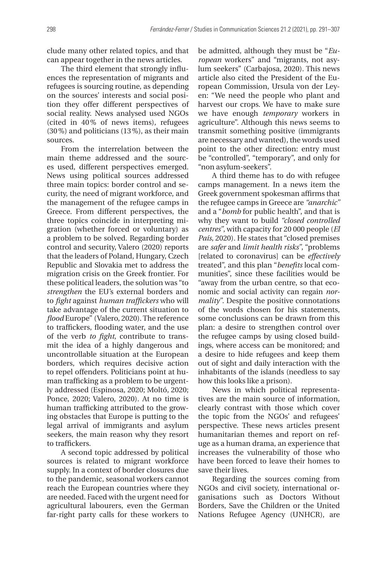clude many other related topics, and that can appear together in the news articles.

The third element that strongly influences the representation of migrants and refugees is sourcing routine, as depending on the sources' interests and social position they offer different perspectives of social reality. News analysed used NGOs (cited in 40% of news items), refugees (30%) and politicians (13%), as their main sources.

From the interrelation between the main theme addressed and the sources used, different perspectives emerged. News using political sources addressed three main topics: border control and security, the need of migrant workforce, and the management of the refugee camps in Greece. From different perspectives, the three topics coincide in interpreting migration (whether forced or voluntary) as a problem to be solved. Regarding border control and security, Valero (2020) reports that the leaders of Poland, Hungary, Czech Republic and Slovakia met to address the migration crisis on the Greek frontier. For these political leaders, the solution was "to *strengthen* the EU's external borders and to *fight* against *human traffickers* who will take advantage of the current situation to *flood* Europe" (Valero, 2020). The reference to traffickers, flooding water, and the use of the verb *to fight*, contribute to transmit the idea of a highly dangerous and uncontrollable situation at the European borders, which requires decisive action to repel offenders. Politicians point at human trafficking as a problem to be urgently addressed (Espinosa, 2020; Moltó, 2020; Ponce, 2020; Valero, 2020). At no time is human trafficking attributed to the growing obstacles that Europe is putting to the legal arrival of immigrants and asylum seekers, the main reason why they resort to traffickers.

A second topic addressed by political sources is related to migrant workforce supply. In a context of border closures due to the pandemic, seasonal workers cannot reach the European countries where they are needed. Faced with the urgent need for agricultural labourers, even the German far-right party calls for these workers to

be admitted, although they must be "*European* workers" and "migrants, not asylum seekers" (Carbajosa, 2020). This news article also cited the President of the European Commission, Ursula von der Leyen: "We need the people who plant and harvest our crops. We have to make sure we have enough *temporary* workers in agriculture". Although this news seems to transmit something positive (immigrants are necessary and wanted), the words used point to the other direction: entry must be "controlled", "temporary", and only for "non asylum-seekers".

A third theme has to do with refugee camps management. In a news item the Greek government spokesman affirms that the refugee camps in Greece are *"anarchic"* and a "*bomb* for public health", and that is why they want to build *"closed controlled centres"*, with capacity for 20 000 people (*El País*, 2020). He states that "closed premises are *safer* and *limit health risks"*, "problems [related to coronavirus] can be *effectively*  treated", and this plan "*benefits* local communities", since these facilities would be "away from the urban centre, so that economic and social activity can regain *normality"*. Despite the positive connotations of the words chosen for his statements, some conclusions can be drawn from this plan: a desire to strengthen control over the refugee camps by using closed buildings, where access can be monitored; and a desire to hide refugees and keep them out of sight and daily interaction with the inhabitants of the islands (needless to say how this looks like a prison).

News in which political representatives are the main source of information, clearly contrast with those which cover the topic from the NGOs' and refugees' perspective. These news articles present humanitarian themes and report on refuge as a human drama, an experience that increases the vulnerability of those who have been forced to leave their homes to save their lives.

Regarding the sources coming from NGOs and civil society, international organisations such as Doctors Without Borders, Save the Children or the United Nations Refugee Agency (UNHCR), are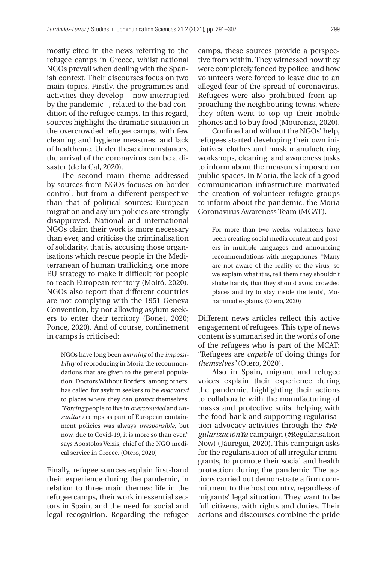mostly cited in the news referring to the refugee camps in Greece, whilst national NGOs prevail when dealing with the Spanish context. Their discourses focus on two main topics. Firstly, the programmes and activities they develop – now interrupted by the pandemic –, related to the bad condition of the refugee camps. In this regard, sources highlight the dramatic situation in the overcrowded refugee camps, with few cleaning and hygiene measures, and lack of healthcare. Under these circumstances, the arrival of the coronavirus can be a disaster (de la Cal, 2020).

The second main theme addressed by sources from NGOs focuses on border control, but from a different perspective than that of political sources: European migration and asylum policies are strongly disapproved. National and international NGOs claim their work is more necessary than ever, and criticise the criminalisation of solidarity, that is, accusing those organisations which rescue people in the Mediterranean of human trafficking, one more EU strategy to make it difficult for people to reach European territory (Moltó, 2020). NGOs also report that different countries are not complying with the 1951 Geneva Convention, by not allowing asylum seekers to enter their territory (Bonet, 2020; Ponce, 2020). And of course, confinement in camps is criticised:

NGOs have long been *warning* of the *impossibility* of reproducing in Moria the recommendations that are given to the general population. Doctors Without Borders, among others, has called for asylum seekers to be *evacuated* to places where they can *protect* themselves. *"Forcing* people to live in *overcrowded* and *unsanitary* camps as part of European containment policies was always *irresponsible*, but now, due to Covid-19, it is more so than ever," says Apostolos Veizis, chief of the NGO medical service in Greece. (Otero, 2020)

Finally, refugee sources explain first-hand their experience during the pandemic, in relation to three main themes: life in the refugee camps, their work in essential sectors in Spain, and the need for social and legal recognition. Regarding the refugee

camps, these sources provide a perspective from within. They witnessed how they were completely fenced by police, and how volunteers were forced to leave due to an alleged fear of the spread of coronavirus. Refugees were also prohibited from approaching the neighbouring towns, where they often went to top up their mobile phones and to buy food (Mourenza, 2020).

Confined and without the NGOs' help, refugees started developing their own initiatives: clothes and mask manufacturing workshops, cleaning, and awareness tasks to inform about the measures imposed on public spaces. In Moria, the lack of a good communication infrastructure motivated the creation of volunteer refugee groups to inform about the pandemic, the Moria Coronavirus Awareness Team (MCAT).

For more than two weeks, volunteers have been creating social media content and posters in multiple languages and announcing recommendations with megaphones. "Many are not aware of the reality of the virus, so we explain what it is, tell them they shouldn't shake hands, that they should avoid crowded places and try to stay inside the tents", Mohammad explains. (Otero, 2020)

Different news articles reflect this active engagement of refugees. This type of news content is summarised in the words of one of the refugees who is part of the MCAT: "Refugees are *capable* of doing things for *themselves"* (Otero, 2020).

Also in Spain, migrant and refugee voices explain their experience during the pandemic, highlighting their actions to collaborate with the manufacturing of masks and protective suits, helping with the food bank and supporting regularisation advocacy activities through the *#RegularizaciónYa* campaign (*#*Regularisation Now) (Jáuregui, 2020). This campaign asks for the regularisation of all irregular immigrants, to promote their social and health protection during the pandemic. The actions carried out demonstrate a firm commitment to the host country, regardless of migrants' legal situation. They want to be full citizens, with rights and duties. Their actions and discourses combine the pride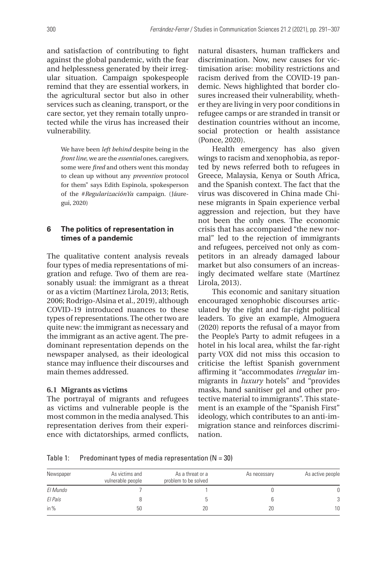and satisfaction of contributing to fight against the global pandemic, with the fear and helplessness generated by their irregular situation. Campaign spokespeople remind that they are essential workers, in the agricultural sector but also in other services such as cleaning, transport, or the care sector, yet they remain totally unprotected while the virus has increased their vulnerability.

We have been *left behind* despite being in the *front line*, we are the *essential* ones, caregivers, some were *fired* and others went this monday to clean up without any *prevention* protocol for them" says Edith Espinola, spokesperson of the #*RegularizaciónYa* campaign. (Jáuregui, 2020)

# **6 The politics of representation in times of a pandemic**

The qualitative content analysis reveals four types of media representations of migration and refuge. Two of them are reasonably usual: the immigrant as a threat or as a victim (Martínez Lirola, 2013; Retis, 2006; Rodrigo-Alsina et al., 2019), although COVID-19 introduced nuances to these types of representations. The other two are quite new: the immigrant as necessary and the immigrant as an active agent. The predominant representation depends on the newspaper analysed, as their ideological stance may influence their discourses and main themes addressed.

# **6.1 Migrants as victims**

The portrayal of migrants and refugees as victims and vulnerable people is the most common in the media analysed. This representation derives from their experience with dictatorships, armed conflicts,

natural disasters, human traffickers and discrimination. Now, new causes for victimisation arise: mobility restrictions and racism derived from the COVID-19 pandemic. News highlighted that border closures increased their vulnerability, whether they are living in very poor conditions in refugee camps or are stranded in transit or destination countries without an income, social protection or health assistance (Ponce, 2020).

Health emergency has also given wings to racism and xenophobia, as reported by news referred both to refugees in Greece, Malaysia, Kenya or South Africa, and the Spanish context. The fact that the virus was discovered in China made Chinese migrants in Spain experience verbal aggression and rejection, but they have not been the only ones. The economic crisis that has accompanied "the new normal" led to the rejection of immigrants and refugees, perceived not only as competitors in an already damaged labour market but also consumers of an increasingly decimated welfare state (Martínez Lirola, 2013).

This economic and sanitary situation encouraged xenophobic discourses articulated by the right and far-right political leaders. To give an example, Almoguera (2020) reports the refusal of a mayor from the People's Party to admit refugees in a hotel in his local area, whilst the far-right party VOX did not miss this occasion to criticise the leftist Spanish government affirming it "accommodates *irregular* immigrants in *luxury* hotels" and "provides masks, hand sanitiser gel and other protective material to immigrants". This statement is an example of the "Spanish First" ideology, which contributes to an anti-immigration stance and reinforces discrimination.

Table 1: Predominant types of media representation ( $N = 30$ )

| Newspaper | As victims and<br>vulnerable people | As a threat or a<br>problem to be solved | As necessary | As active people |
|-----------|-------------------------------------|------------------------------------------|--------------|------------------|
| El Mundo  |                                     |                                          |              |                  |
| El País   |                                     |                                          |              |                  |
| in $%$    | 50                                  | 20                                       | 20           | 10               |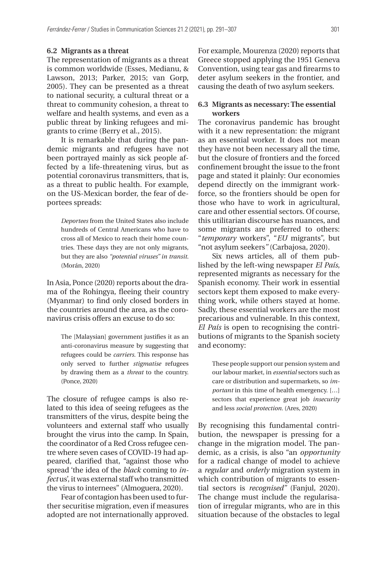### **6.2 Migrants as a threat**

The representation of migrants as a threat is common worldwide (Esses, Medianu, & Lawson, 2013; Parker, 2015; van Gorp, 2005). They can be presented as a threat to national security, a cultural threat or a threat to community cohesion, a threat to welfare and health systems, and even as a public threat by linking refugees and migrants to crime (Berry et al., 2015).

It is remarkable that during the pandemic migrants and refugees have not been portrayed mainly as sick people affected by a life-threatening virus, but as potential coronavirus transmitters, that is, as a threat to public health. For example, on the US-Mexican border, the fear of deportees spreads:

*Deportees* from the United States also include hundreds of Central Americans who have to cross all of Mexico to reach their home countries. These days they are not only migrants, but they are also *"potential viruses" in transit*. (Morán, 2020)

In Asia, Ponce (2020) reports about the drama of the Rohingya, fleeing their country (Myanmar) to find only closed borders in the countries around the area, as the coronavirus crisis offers an excuse to do so:

The [Malaysian] government justifies it as an anti-coronavirus measure by suggesting that refugees could be *carriers*. This response has only served to further *stigmatise* refugees by drawing them as a *threat* to the country. (Ponce, 2020)

The closure of refugee camps is also related to this idea of seeing refugees as the transmitters of the virus, despite being the volunteers and external staff who usually brought the virus into the camp. In Spain, the coordinator of a Red Cross refugee centre where seven cases of COVID-19 had appeared, clarified that, "against those who spread 'the idea of the *black* coming to *infect* us', it was external staff who transmitted the virus to internees" (Almoguera, 2020).

Fear of contagion has been used to further securitise migration, even if measures adopted are not internationally approved.

For example, Mourenza (2020) reports that Greece stopped applying the 1951 Geneva Convention, using tear gas and firearms to deter asylum seekers in the frontier, and causing the death of two asylum seekers.

### **6.3 Migrants as necessary: The essential workers**

The coronavirus pandemic has brought with it a new representation: the migrant as an essential worker. It does not mean they have not been necessary all the time, but the closure of frontiers and the forced confinement brought the issue to the front page and stated it plainly: Our economies depend directly on the immigrant workforce, so the frontiers should be open for those who have to work in agricultural, care and other essential sectors. Of course, this utilitarian discourse has nuances, and some migrants are preferred to others: "*temporary* workers", "*EU* migrants", but "not asylum seekers*"* (Carbajosa, 2020).

Six news articles, all of them published by the left-wing newspaper *El País*, represented migrants as necessary for the Spanish economy. Their work in essential sectors kept them exposed to make everything work, while others stayed at home. Sadly, these essential workers are the most precarious and vulnerable. In this context, *El País* is open to recognising the contributions of migrants to the Spanish society and economy:

These people support our pension system and our labour market, in *essential* sectors such as care or distribution and supermarkets, so *important* in this time of health emergency. […] sectors that experience great job *insecurity* and less *social protection.* (Ares, 2020)

By recognising this fundamental contribution, the newspaper is pressing for a change in the migration model. The pandemic, as a crisis, is also "an *opportunity* for a radical change of model to achieve a *regular* and *orderly* migration system in which contribution of migrants to essential sectors is *recognised"* (Fanjul, 2020). The change must include the regularisation of irregular migrants, who are in this situation because of the obstacles to legal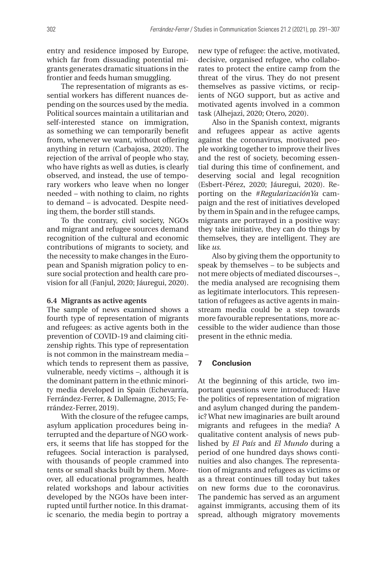entry and residence imposed by Europe, which far from dissuading potential migrants generates dramatic situations in the frontier and feeds human smuggling.

The representation of migrants as essential workers has different nuances depending on the sources used by the media. Political sources maintain a utilitarian and self-interested stance on immigration, as something we can temporarily benefit from, whenever we want, without offering anything in return (Carbajosa, 2020). The rejection of the arrival of people who stay, who have rights as well as duties, is clearly observed, and instead, the use of temporary workers who leave when no longer needed – with nothing to claim, no rights to demand – is advocated. Despite needing them, the border still stands.

To the contrary, civil society, NGOs and migrant and refugee sources demand recognition of the cultural and economic contributions of migrants to society, and the necessity to make changes in the European and Spanish migration policy to ensure social protection and health care provision for all (Fanjul, 2020; Jáuregui, 2020).

#### **6.4 Migrants as active agents**

The sample of news examined shows a fourth type of representation of migrants and refugees: as active agents both in the prevention of COVID-19 and claiming citizenship rights. This type of representation is not common in the mainstream media – which tends to represent them as passive, vulnerable, needy victims –, although it is the dominant pattern in the ethnic minority media developed in Spain (Echevarría, Ferrández-Ferrer, & Dallemagne, 2015; Ferrández-Ferrer, 2019).

With the closure of the refugee camps, asylum application procedures being interrupted and the departure of NGO workers, it seems that life has stopped for the refugees. Social interaction is paralysed, with thousands of people crammed into tents or small shacks built by them. Moreover, all educational programmes, health related workshops and labour activities developed by the NGOs have been interrupted until further notice. In this dramatic scenario, the media begin to portray a

new type of refugee: the active, motivated, decisive, organised refugee, who collaborates to protect the entire camp from the threat of the virus. They do not present themselves as passive victims, or recipients of NGO support, but as active and motivated agents involved in a common task (Alhejazi, 2020; Otero, 2020).

Also in the Spanish context, migrants and refugees appear as active agents against the coronavirus, motivated people working together to improve their lives and the rest of society, becoming essential during this time of confinement, and deserving social and legal recognition (Esbert-Pérez, 2020; Jáuregui, 2020). Reporting on the #*RegularizaciónYa* campaign and the rest of initiatives developed by them in Spain and in the refugee camps, migrants are portrayed in a positive way: they take initiative, they can do things by themselves, they are intelligent. They are like *us*.

Also by giving them the opportunity to speak by themselves – to be subjects and not mere objects of mediated discourses –, the media analysed are recognising them as legitimate interlocutors. This representation of refugees as active agents in mainstream media could be a step towards more favourable representations, more accessible to the wider audience than those present in the ethnic media.

### **7 Conclusion**

At the beginning of this article, two important questions were introduced: Have the politics of representation of migration and asylum changed during the pandemic? What new imaginaries are built around migrants and refugees in the media? A qualitative content analysis of news published by *El País* and *El Mundo* during a period of one hundred days shows continuities and also changes. The representation of migrants and refugees as victims or as a threat continues till today but takes on new forms due to the coronavirus. The pandemic has served as an argument against immigrants, accusing them of its spread, although migratory movements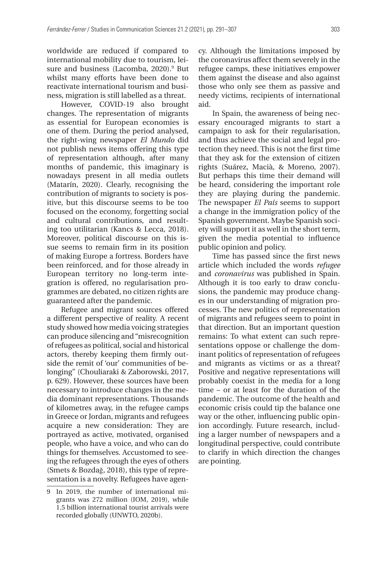worldwide are reduced if compared to international mobility due to tourism, leisure and business (Lacomba, 2020).9 But whilst many efforts have been done to reactivate international tourism and business, migration is still labelled as a threat.

However, COVID-19 also brought changes. The representation of migrants as essential for European economies is one of them. During the period analysed, the right-wing newspaper *El Mundo* did not publish news items offering this type of representation although, after many months of pandemic, this imaginary is nowadays present in all media outlets (Matarín, 2020). Clearly, recognising the contribution of migrants to society is positive, but this discourse seems to be too focused on the economy, forgetting social and cultural contributions, and resulting too utilitarian (Kancs & Lecca, 2018). Moreover, political discourse on this issue seems to remain firm in its position of making Europe a fortress. Borders have been reinforced, and for those already in European territory no long-term integration is offered, no regularisation programmes are debated, no citizen rights are guaranteed after the pandemic.

Refugee and migrant sources offered a different perspective of reality. A recent study showed how media voicing strategies can produce silencing and "misrecognition of refugees as political, social and historical actors, thereby keeping them firmly outside the remit of 'our' communities of belonging" (Chouliaraki & Zaborowski, 2017, p. 629). However, these sources have been necessary to introduce changes in the media dominant representations. Thousands of kilometres away, in the refugee camps in Greece or Jordan, migrants and refugees acquire a new consideration: They are portrayed as active, motivated, organised people, who have a voice, and who can do things for themselves. Accustomed to seeing the refugees through the eyes of others (Smets & Bozdağ, 2018), this type of representation is a novelty. Refugees have agency. Although the limitations imposed by the coronavirus affect them severely in the refugee camps, these initiatives empower them against the disease and also against those who only see them as passive and needy victims, recipients of international aid.

In Spain, the awareness of being necessary encouraged migrants to start a campaign to ask for their regularisation, and thus achieve the social and legal protection they need. This is not the first time that they ask for the extension of citizen rights (Suárez, Macià, & Moreno, 2007). But perhaps this time their demand will be heard, considering the important role they are playing during the pandemic. The newspaper *El País* seems to support a change in the immigration policy of the Spanish government. Maybe Spanish society will support it as well in the short term, given the media potential to influence public opinion and policy.

Time has passed since the first news article which included the words *refugee* and *coronavirus* was published in Spain. Although it is too early to draw conclusions, the pandemic may produce changes in our understanding of migration processes. The new politics of representation of migrants and refugees seem to point in that direction. But an important question remains: To what extent can such representations oppose or challenge the dominant politics of representation of refugees and migrants as victims or as a threat? Positive and negative representations will probably coexist in the media for a long time – or at least for the duration of the pandemic. The outcome of the health and economic crisis could tip the balance one way or the other, influencing public opinion accordingly. Future research, including a larger number of newspapers and a longitudinal perspective, could contribute to clarify in which direction the changes are pointing.

<sup>9</sup> In 2019, the number of international migrants was 272 million (IOM, 2019), while 1.5 billion international tourist arrivals were recorded globally (UNWTO, 2020b).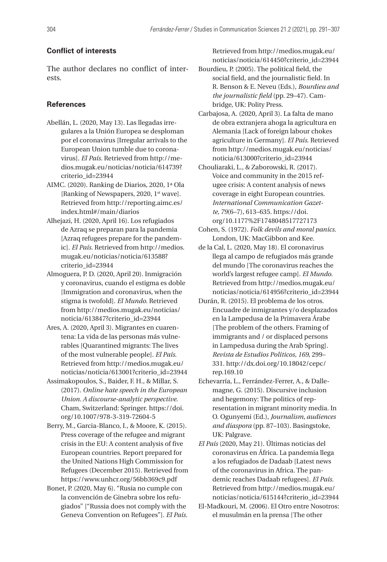# **Conflict of interests**

The author declares no conflict of interests.

#### **References**

- Abellán, L. (2020, May 13). Las llegadas irregulares a la Unión Europea se desploman por el coronavirus [Irregular arrivals to the European Union tumble due to coronavirus]. *El País.* Retrieved from [http://me](http://medios.mugak.eu/noticias/noticia/614739? criterio_id=23944)[dios.mugak.eu/noticias/noticia/614739?](http://medios.mugak.eu/noticias/noticia/614739? criterio_id=23944)  [criterio\\_id=23944](http://medios.mugak.eu/noticias/noticia/614739? criterio_id=23944)
- AIMC. (2020). Ranking de Diarios, 2020, 1ª Ola [Ranking of Newspapers, 2020, 1<sup>st</sup> wave]. Retrieved from [http://reporting.aimc.es/](http://reporting.aimc.es/index.html#/main/diarios) [index.html#/main/diarios](http://reporting.aimc.es/index.html#/main/diarios)
- Alhejazi, H. (2020, April 16). Los refugiados de Azraq se preparan para la pandemia [Azraq refugees prepare for the pandemic]. *El País*. Retrieved from [http://medios.](http://medios.mugak.eu/noticias/noticia/613588?
criterio_id=23944) [mugak.eu/noticias/noticia/613588?](http://medios.mugak.eu/noticias/noticia/613588?
criterio_id=23944) [criterio\\_id=23944](http://medios.mugak.eu/noticias/noticia/613588?
criterio_id=23944)
- Almoguera, P. D. (2020, April 20). Inmigración y coronavirus, cuando el estigma es doble [Immigration and coronavirus, when the stigma is twofold]. *El Mundo.* Retrieved from [http://medios.mugak.eu/noticias/](http://medios.mugak.eu/noticias/noticia/613847?criterio_id=23944) [noticia/613847?criterio\\_id=23944](http://medios.mugak.eu/noticias/noticia/613847?criterio_id=23944)
- Ares, A. (2020, April 3). Migrantes en cuarentena: La vida de las personas más vulnerables [Quarantined migrants: The lives of the most vulnerable people]. *El País*. Retrieved from [http://medios.mugak.eu/](http://medios.mugak.eu/noticias/noticia/613001?criterio_id=23944) [noticias/noticia/613001?criterio\\_id=23944](http://medios.mugak.eu/noticias/noticia/613001?criterio_id=23944)
- Assimakopoulos, S., Baider, F. H., & Millar, S. (2017). *Online hate speech in the European Union. A discourse-analytic perspective*. Cham, Switzerland: Springer. [https://doi.](https://doi.org/10.1007/978-3-319-72604-5) [org/10.1007/978-3-319-72604-5](https://doi.org/10.1007/978-3-319-72604-5)
- Berry, M., Garcia-Blanco, I., & Moore, K. (2015). Press coverage of the refugee and migrant crisis in the EU: A content analysis of five European countries. Report prepared for the United Nations High Commission for Refugees (December 2015). Retrieved from <https://www.unhcr.org/56bb369c9.pdf>
- Bonet, P. (2020, May 6). "Rusia no cumple con la convención de Ginebra sobre los refugiados" ["Russia does not comply with the Geneva Convention on Refugees"]. *El País.*

Retrieved from [http://medios.mugak.eu/](http://medios.mugak.eu/noticias/noticia/614450?criterio_id=23944) [noticias/noticia/614450?criterio\\_id=23944](http://medios.mugak.eu/noticias/noticia/614450?criterio_id=23944)

- Bourdieu, P. (2005). The political field, the social field, and the journalistic field. In R. Benson & E. Neveu (Eds.), *Bourdieu and the journalistic field* (pp. 29–47). Cambridge, UK: Polity Press.
- Carbajosa, A. (2020, April 3). La falta de mano de obra extranjera ahoga la agricultura en Alemania [Lack of foreign labour chokes agriculture in Germany]. *El País*. Retrieved from [http://medios.mugak.eu/noticias/](http://medios.mugak.eu/noticias/noticia/613000?criterio_id=23944) [noticia/613000?criterio\\_id=23944](http://medios.mugak.eu/noticias/noticia/613000?criterio_id=23944)
- Chouliaraki, L., & Zaborowski, R. (2017). Voice and community in the 2015 refugee crisis: A content analysis of news coverage in eight European countries. *International Communication Gazette, 79*(6–7), 613–635. [https://doi.](https://doi.org/10.1177%2F1748048517727173) [org/10.1177%2F1748048517727173](https://doi.org/10.1177%2F1748048517727173)
- Cohen, S. (1972). *Folk devils and moral panics*. London, UK: MacGibbon and Kee.
- de la Cal, L. (2020, May 18). El coronavirus llega al campo de refugiados más grande del mundo [The coronavirus reaches the world's largest refugee camp]. *El Mundo.*  Retrieved from [http://medios.mugak.eu/](http://medios.mugak.eu/noticias/noticia/614956?criterio_id=23944) [noticias/noticia/614956?criterio\\_id=23944](http://medios.mugak.eu/noticias/noticia/614956?criterio_id=23944)
- Durán, R. (2015). El problema de los otros. Encuadre de inmigrantes y/o desplazados en la Lampedusa de la Primavera Árabe [The problem of the others. Framing of immigrants and / or displaced persons in Lampedusa during the Arab Spring]. *Revista de Estudios Políticos, 169*, 299– 331. [http://dx.doi.org/10.18042/cepc/](http://dx.doi.org/10.18042/cepc/rep.169.10) [rep.169.10](http://dx.doi.org/10.18042/cepc/rep.169.10)
- Echevarría, L., Ferrández-Ferrer, A., & Dallemagne, G. (2015). Discursive inclusion and hegemony: The politics of representation in migrant minority media. In O. Ogunyemi (Ed.), *Journalism, audiences and diaspora* (pp. 87–103). Basingstoke, UK: Palgrave.
- *El País* (2020, May 21). Últimas noticias del coronavirus en África. La pandemia llega a los refugiados de Dadaab [Latest news of the coronavirus in Africa. The pandemic reaches Dadaab refugees]. *El País.*  Retrieved from [http://medios.mugak.eu/](http://medios.mugak.eu/noticias/noticia/615144?criterio_id=23944) [noticias/noticia/615144?criterio\\_id=23944](http://medios.mugak.eu/noticias/noticia/615144?criterio_id=23944)
- El-Madkouri, M. (2006). El Otro entre Nosotros: el musulmán en la prensa [The other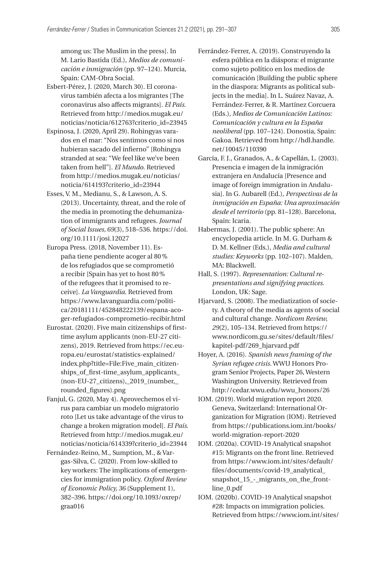among us: The Muslim in the press]. In M. Lario Bastida (Ed.), *Medios de comunicación e inmigración* (pp. 97–124). Murcia, Spain: CAM-Obra Social.

- Esbert-Pérez, J. (2020, March 30). El coronavirus también afecta a los migrantes [The coronavirus also affects migrants]. *El País*. Retrieved from [http://medios.mugak.eu/](http://medios.mugak.eu/noticias/noticia/612763?criterio_id=23945) [noticias/noticia/612763?criterio\\_id=23945](http://medios.mugak.eu/noticias/noticia/612763?criterio_id=23945)
- Espinosa, J. (2020, April 29). Rohingyas varados en el mar: "Nos sentimos como si nos hubieran sacado del infierno" [Rohingya stranded at sea: "We feel like we've been taken from hell"]. *El Mundo*. Retrieved from [http://medios.mugak.eu/noticias/](http://medios.mugak.eu/noticias/noticia/614193?criterio_id=23944) [noticia/614193?criterio\\_id=23944](http://medios.mugak.eu/noticias/noticia/614193?criterio_id=23944)
- Esses, V. M., Medianu, S., & Lawson, A. S. (2013). Uncertainty, threat, and the role of the media in promoting the dehumanization of immigrants and refugees. *Journal of Social Issues, 69*(3), 518–536. [https://doi.](https://doi.org/10.1111/josi.12027) [org/10.1111/josi.12027](https://doi.org/10.1111/josi.12027)
- Europa Press. (2018, November 11). España tiene pendiente acoger al 80% de los refugiados que se comprometió a recibir [Spain has yet to host 80% of the refugees that it promised to receive]. *La Vanguardia*. Retrieved from [https://www.lavanguardia.com/politi](https://www.lavanguardia.com/politica/20181111/452848222139/espana-acoger-refugiados-comprometio-recibir.html)[ca/20181111/452848222139/espana-aco](https://www.lavanguardia.com/politica/20181111/452848222139/espana-acoger-refugiados-comprometio-recibir.html)[ger-refugiados-comprometio-recibir.html](https://www.lavanguardia.com/politica/20181111/452848222139/espana-acoger-refugiados-comprometio-recibir.html)
- Eurostat. (2020). Five main citizenships of firsttime asylum applicants (non-EU-27 citizens), 2019. Retrieved from [https://ec.eu](https://ec.europa.eu/eurostat/statistics-explained/index.php?title=File:Five_main_citizenships_of_first-time_asylum_applicants_(non-EU-27_citizens),_2019_(number,_rounded_figures).png)[ropa.eu/eurostat/statistics-explained/](https://ec.europa.eu/eurostat/statistics-explained/index.php?title=File:Five_main_citizenships_of_first-time_asylum_applicants_(non-EU-27_citizens),_2019_(number,_rounded_figures).png) [index.php?title=File:Five\\_main\\_citizen](https://ec.europa.eu/eurostat/statistics-explained/index.php?title=File:Five_main_citizenships_of_first-time_asylum_applicants_(non-EU-27_citizens),_2019_(number,_rounded_figures).png)ships of first-time asylum applicants [\(non-EU-27\\_citizens\),\\_2019\\_\(number,\\_](https://ec.europa.eu/eurostat/statistics-explained/index.php?title=File:Five_main_citizenships_of_first-time_asylum_applicants_(non-EU-27_citizens),_2019_(number,_rounded_figures).png) [rounded\\_figures\).png](https://ec.europa.eu/eurostat/statistics-explained/index.php?title=File:Five_main_citizenships_of_first-time_asylum_applicants_(non-EU-27_citizens),_2019_(number,_rounded_figures).png)
- Fanjul, G. (2020, May 4). Aprovechemos el virus para cambiar un modelo migratorio roto [Let us take advantage of the virus to change a broken migration model]. *El País.* Retrieved from [http://medios.mugak.eu/](http://medios.mugak.eu/noticias/noticia/614339?criterio_id=23944) [noticias/noticia/614339?criterio\\_id=23944](http://medios.mugak.eu/noticias/noticia/614339?criterio_id=23944)
- Fernández-Reino, M., Sumption, M., & Vargas-Silva, C. (2020). From low-skilled to key workers: The implications of emergencies for immigration policy. *Oxford Review of Economic Policy, 36* (Supplement 1), 382–396. [https://doi.org/10.1093/oxrep/](https://doi.org/10.1093/oxrep/graa016) [graa016](https://doi.org/10.1093/oxrep/graa016)
- Ferrández-Ferrer, A. (2019). Construyendo la esfera pública en la diáspora: el migrante como sujeto político en los medios de comunicación [Building the public sphere in the diaspora: Migrants as political subjects in the media]. In L. Suárez Navaz, A. Ferrández-Ferrer, & R. Martínez Corcuera (Eds*.*)*, Medios de Comunicación Latinos: Comunicación y cultura en la España neoliberal* (pp. 107–124). Donostia, Spain: Gakoa. Retrieved from [http://hdl.handle.](http://hdl.handle.net/10045/110390) [net/10045/110390](http://hdl.handle.net/10045/110390)
- García, F. J., Granados, A., & Capellán, L. (2003). Presencia e imagen de la inmigración extranjera en Andalucía [Presence and image of foreign immigration in Andalusia]. In G. Aubarell (Ed.), *Perspectivas de la inmigración en España: Una aproximación desde el territorio* (pp. 81–128). Barcelona, Spain: Icaria.
- Habermas, J. (2001). The public sphere: An encyclopedia article. In M. G. Durham & D. M. Kellner (Eds.), *Media and cultural studies: Keyworks* (pp. 102–107). Malden, MA: Blackwell.
- Hall, S. (1997). *Representation: Cultural representations and signifying practices*. London, UK: Sage.
- Hjarvard, S. (2008). The mediatization of society. A theory of the media as agents of social and cultural change. *Nordicom Review, 29*(2), 105–134. Retrieved from [https://](https://www.nordicom.gu.se/sites/default/files/kapitel-pdf/269_hjarvard.pdf) [www.nordicom.gu.se/sites/default/files/](https://www.nordicom.gu.se/sites/default/files/kapitel-pdf/269_hjarvard.pdf) [kapitel-pdf/269\\_hjarvard.pdf](https://www.nordicom.gu.se/sites/default/files/kapitel-pdf/269_hjarvard.pdf)
- Hoyer, A. (2016). *Spanish news framing of the Syrian refugee crisis*. WWU Honors Program Senior Projects, Paper 26, Western Washington University. Retrieved from [http://cedar.wwu.edu/wwu\\_honors/26](http://cedar.wwu.edu/wwu_honors/26)
- IOM. (2019). World migration report 2020. Geneva, Switzerland: International Organization for Migration (IOM). Retrieved from [https://publications.iom.int/books/](https://publications.iom.int/books/world-migration-report-2020) [world-migration-report-2020](https://publications.iom.int/books/world-migration-report-2020)
- IOM. (2020a). COVID-19 Analytical snapshot #15: Migrants on the front line. Retrieved from [https://www.iom.int/sites/default/](https://www.iom.int/sites/default/files/documents/covid-19_analytical_snapshot_15_-_migrants_on_the_frontline_0.pdf) [files/documents/covid-19\\_analytical\\_](https://www.iom.int/sites/default/files/documents/covid-19_analytical_snapshot_15_-_migrants_on_the_frontline_0.pdf) [snapshot\\_15\\_-\\_migrants\\_on\\_the\\_front](https://www.iom.int/sites/default/files/documents/covid-19_analytical_snapshot_15_-_migrants_on_the_frontline_0.pdf)[line\\_0.pdf](https://www.iom.int/sites/default/files/documents/covid-19_analytical_snapshot_15_-_migrants_on_the_frontline_0.pdf)
- IOM. (2020b). COVID-19 Analytical snapshot #28: Impacts on immigration policies. Retrieved from [https://www.iom.int/sites/](https://www.iom.int/sites/default/files/documents/covid-19_analytical_snapshot_28_-_impacts_on_immigration_policies.pdf)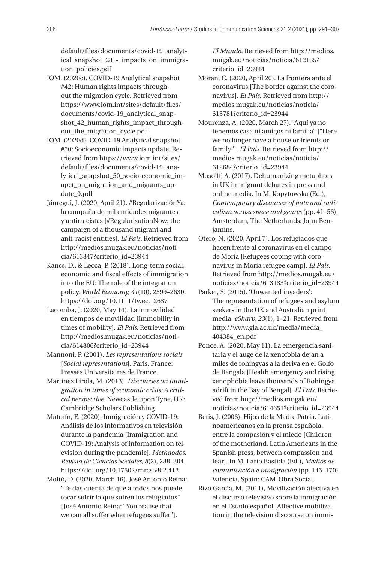[default/files/documents/covid-19\\_analyt](https://www.iom.int/sites/default/files/documents/covid-19_analytical_snapshot_28_-_impacts_on_immigration_policies.pdf)[ical\\_snapshot\\_28\\_-\\_impacts\\_on\\_immigra](https://www.iom.int/sites/default/files/documents/covid-19_analytical_snapshot_28_-_impacts_on_immigration_policies.pdf)[tion\\_policies.pdf](https://www.iom.int/sites/default/files/documents/covid-19_analytical_snapshot_28_-_impacts_on_immigration_policies.pdf)

- IOM. (2020c). COVID-19 Analytical snapshot #42: Human rights impacts throughout the migration cycle. Retrieved from [https://www.iom.int/sites/default/files/](https://www.iom.int/sites/default/files/documents/covid-19_analytical_snapshot_42_human_rights_impact_throughout_the_migration_cycle.pdf) [documents/covid-19\\_analytical\\_snap](https://www.iom.int/sites/default/files/documents/covid-19_analytical_snapshot_42_human_rights_impact_throughout_the_migration_cycle.pdf)[shot\\_42\\_human\\_rights\\_impact\\_through](https://www.iom.int/sites/default/files/documents/covid-19_analytical_snapshot_42_human_rights_impact_throughout_the_migration_cycle.pdf)out the migration cycle.pdf
- IOM. (2020d). COVID-19 Analytical snapshot #50: Socioeconomic impacts update. Retrieved from [https://www.iom.int/sites/](https://www.iom.int/sites/default/files/documents/covid-19_analytical_snapshot_50_socio-economic_imapct_on_migration_and_migrants_update_0.pdf) [default/files/documents/covid-19\\_ana](https://www.iom.int/sites/default/files/documents/covid-19_analytical_snapshot_50_socio-economic_imapct_on_migration_and_migrants_update_0.pdf)[lytical\\_snapshot\\_50\\_socio-economic\\_im](https://www.iom.int/sites/default/files/documents/covid-19_analytical_snapshot_50_socio-economic_imapct_on_migration_and_migrants_update_0.pdf)[apct\\_on\\_migration\\_and\\_migrants\\_up](https://www.iom.int/sites/default/files/documents/covid-19_analytical_snapshot_50_socio-economic_imapct_on_migration_and_migrants_update_0.pdf)[date\\_0.pdf](https://www.iom.int/sites/default/files/documents/covid-19_analytical_snapshot_50_socio-economic_imapct_on_migration_and_migrants_update_0.pdf)
- Jáuregui, J. (2020, April 21). #RegularizaciónYa: la campaña de mil entidades migrantes y antirracistas [#RegularisationNow: the campaign of a thousand migrant and anti-racist entities]. *El País.* Retrieved from [http://medios.mugak.eu/noticias/noti](http://medios.mugak.eu/noticias/noticia/613847?criterio_id=23944)[cia/613847?criterio\\_id=23944](http://medios.mugak.eu/noticias/noticia/613847?criterio_id=23944)
- Kancs, D., & Lecca, P. (2018). Long-term social, economic and fiscal effects of immigration into the EU: The role of the integration policy. *World Economy, 41*(10), 2599–2630. <https://doi.org/10.1111/twec.12637>
- Lacomba, J. (2020, May 14). La inmovilidad en tiempos de movilidad [Immobility in times of mobility]. *El País*. Retrieved from [http://medios.mugak.eu/noticias/noti](http://medios.mugak.eu/noticias/noticia/614806?criterio_id=23944)[cia/614806?criterio\\_id=23944](http://medios.mugak.eu/noticias/noticia/614806?criterio_id=23944)
- Mannoni, P. (2001). *Les representations socials*  [*Social representations*]. Paris, France: Presses Universitaires de France.
- Martínez Lirola, M. (2013). *Discourses on immigration in times of economic crisis: A critical perspective*. Newcastle upon Tyne, UK: Cambridge Scholars Publishing.
- Matarín, E. (2020). Inmigración y COVID-19: Análisis de los informativos en televisión durante la pandemia [Immigration and COVID-19: Analysis of information on television during the pandemic]. *Methaodos. Revista de Ciencias Sociales, 8*(2), 288–304. <https://doi.org/10.17502/mrcs.v8i2.412>
- Moltó, D. (2020, March 16). José Antonio Reina: "Te das cuenta de que a todos nos puede tocar sufrir lo que sufren los refugiados" [José Antonio Reina: "You realise that we can all suffer what refugees suffer"].

*El Mundo*. Retrieved from [http://medios.](http://medios.mugak.eu/noticias/noticia/612135?criterio_id=23944) [mugak.eu/noticias/noticia/612135?](http://medios.mugak.eu/noticias/noticia/612135?criterio_id=23944) [criterio\\_id=23944](http://medios.mugak.eu/noticias/noticia/612135?criterio_id=23944)

- Morán, C. (2020, April 20). La frontera ante el coronavirus [The border against the coronavirus]. *El País*. Retrieved from [http://](http://medios.mugak.eu/noticias/noticia/613781?criterio_id=23944) [medios.mugak.eu/noticias/noticia/](http://medios.mugak.eu/noticias/noticia/613781?criterio_id=23944)  [613781?criterio\\_id=23944](http://medios.mugak.eu/noticias/noticia/613781?criterio_id=23944)
- Mourenza, A. (2020, March 27). "Aquí ya no tenemos casa ni amigos ni familia" ["Here we no longer have a house or friends or family"]. *El País*. Retrieved from [http://](http://medios.mugak.eu/noticias/noticia/612684?criterio_id=23944) [medios.mugak.eu/noticias/noticia/](http://medios.mugak.eu/noticias/noticia/612684?criterio_id=23944)  [612684?criterio\\_id=23944](http://medios.mugak.eu/noticias/noticia/612684?criterio_id=23944)
- Musolff, A. (2017). Dehumanizing metaphors in UK immigrant debates in press and online media. In M. Kopytowska (Ed.), *Contemporary discourses of hate and radicalism across space and genres* (pp. 41–56). Amsterdam, The Netherlands: John Benjamins.
- Otero, N. (2020, April 7). Los refugiados que hacen frente al coronavirus en el campo de Moria [Refugees coping with coronavirus in Moria refugee camp]. *El País*. Retrieved from [http://medios.mugak.eu/](http://medios.mugak.eu/noticias/noticia/613133?criterio_id=23944) [noticias/noticia/613133?criterio\\_id=23944](http://medios.mugak.eu/noticias/noticia/613133?criterio_id=23944)
- Parker, S. (2015). 'Unwanted invaders': The representation of refugees and asylum seekers in the UK and Australian print media. *eSharp, 23*(1), 1–21. Retrieved from [http://www.gla.ac.uk/media/media\\_](http://www.gla.ac.uk/media/media_404384_en.pdf)  [404384\\_en.pdf](http://www.gla.ac.uk/media/media_404384_en.pdf)
- Ponce, A. (2020, May 11). La emergencia sanitaria y el auge de la xenofobia dejan a miles de rohingyas a la deriva en el Golfo de Bengala [Health emergency and rising xenophobia leave thousands of Rohingya adrift in the Bay of Bengal]. *El País.* Retrieved from [http://medios.mugak.eu/](http://medios.mugak.eu/noticias/noticia/614651?criterio_id=23944) [noticias/noticia/614651?criterio\\_id=23944](http://medios.mugak.eu/noticias/noticia/614651?criterio_id=23944)
- Retis, J. (2006). Hijos de la Madre Patria. Latinoamericanos en la prensa española, entre la compasión y el miedo [Children of the motherland. Latin Americans in the Spanish press, between compassion and fear]. In M. Lario Bastida (Ed.), *Medios de comunicación e inmigración* (pp. 145–170). Valencia, Spain: CAM-Obra Social.
- Rizo García, M. (2011), Movilización afectiva en el discurso televisivo sobre la inmigración en el Estado español [Affective mobilization in the television discourse on immi-